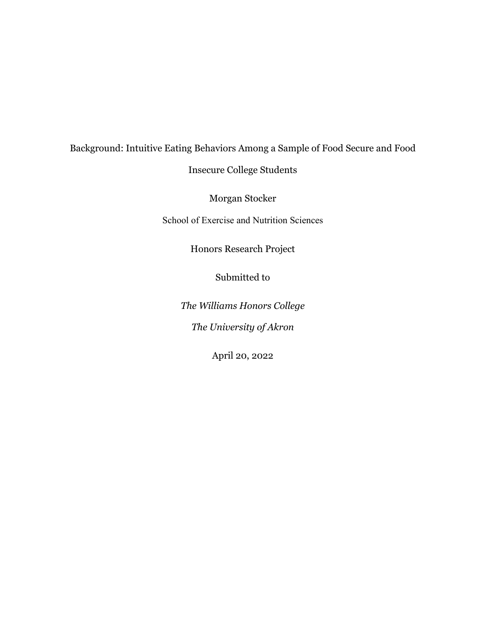# Background: Intuitive Eating Behaviors Among a Sample of Food Secure and Food

Insecure College Students

Morgan Stocker

School of Exercise and Nutrition Sciences

Honors Research Project

Submitted to

*The Williams Honors College The University of Akron*

April 20, 2022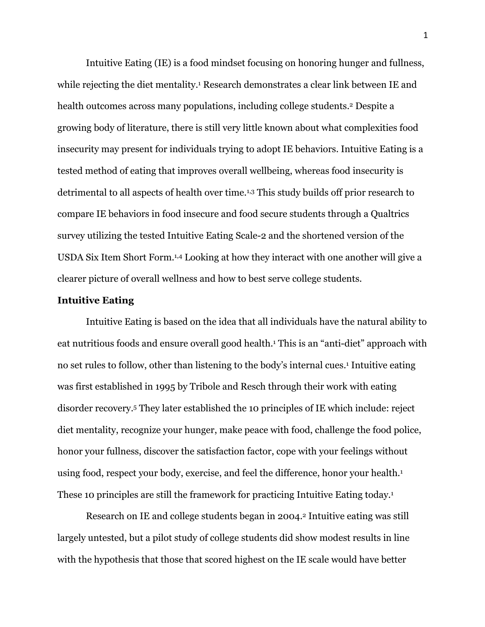Intuitive Eating (IE) is a food mindset focusing on honoring hunger and fullness, while rejecting the diet mentality.<sup>1</sup> Research demonstrates a clear link between IE and health outcomes across many populations, including college students.<sup>2</sup> Despite a growing body of literature, there is still very little known about what complexities food insecurity may present for individuals trying to adopt IE behaviors. Intuitive Eating is a tested method of eating that improves overall wellbeing, whereas food insecurity is detrimental to all aspects of health over time.1,3 This study builds off prior research to compare IE behaviors in food insecure and food secure students through a Qualtrics survey utilizing the tested Intuitive Eating Scale-2 and the shortened version of the USDA Six Item Short Form.1,4 Looking at how they interact with one another will give a clearer picture of overall wellness and how to best serve college students.

#### **Intuitive Eating**

Intuitive Eating is based on the idea that all individuals have the natural ability to eat nutritious foods and ensure overall good health.<sup>1</sup> This is an "anti-diet" approach with no set rules to follow, other than listening to the body's internal cues.<sup>1</sup> Intuitive eating was first established in 1995 by Tribole and Resch through their work with eating disorder recovery.5 They later established the 10 principles of IE which include: reject diet mentality, recognize your hunger, make peace with food, challenge the food police, honor your fullness, discover the satisfaction factor, cope with your feelings without using food, respect your body, exercise, and feel the difference, honor your health.<sup>1</sup> These 10 principles are still the framework for practicing Intuitive Eating today.1

Research on IE and college students began in 2004.2 Intuitive eating was still largely untested, but a pilot study of college students did show modest results in line with the hypothesis that those that scored highest on the IE scale would have better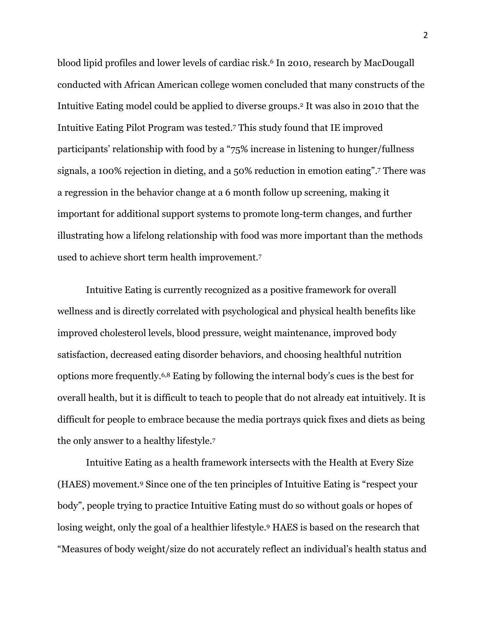blood lipid profiles and lower levels of cardiac risk.6 In 2010, research by MacDougall conducted with African American college women concluded that many constructs of the Intuitive Eating model could be applied to diverse groups.2 It was also in 2010 that the Intuitive Eating Pilot Program was tested.7 This study found that IE improved participants' relationship with food by a "75% increase in listening to hunger/fullness signals, a 100% rejection in dieting, and a 50% reduction in emotion eating".7 There was a regression in the behavior change at a 6 month follow up screening, making it important for additional support systems to promote long-term changes, and further illustrating how a lifelong relationship with food was more important than the methods used to achieve short term health improvement.7

Intuitive Eating is currently recognized as a positive framework for overall wellness and is directly correlated with psychological and physical health benefits like improved cholesterol levels, blood pressure, weight maintenance, improved body satisfaction, decreased eating disorder behaviors, and choosing healthful nutrition options more frequently.6,8 Eating by following the internal body's cues is the best for overall health, but it is difficult to teach to people that do not already eat intuitively. It is difficult for people to embrace because the media portrays quick fixes and diets as being the only answer to a healthy lifestyle.7

Intuitive Eating as a health framework intersects with the Health at Every Size (HAES) movement.9 Since one of the ten principles of Intuitive Eating is "respect your body", people trying to practice Intuitive Eating must do so without goals or hopes of losing weight, only the goal of a healthier lifestyle.9 HAES is based on the research that "Measures of body weight/size do not accurately reflect an individual's health status and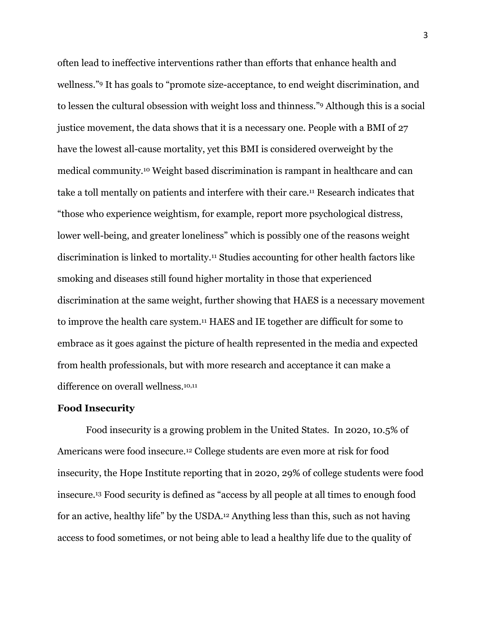often lead to ineffective interventions rather than efforts that enhance health and wellness."9 It has goals to "promote size-acceptance, to end weight discrimination, and to lessen the cultural obsession with weight loss and thinness."9 Although this is a social justice movement, the data shows that it is a necessary one. People with a BMI of 27 have the lowest all-cause mortality, yet this BMI is considered overweight by the medical community.10 Weight based discrimination is rampant in healthcare and can take a toll mentally on patients and interfere with their care.11 Research indicates that "those who experience weightism, for example, report more psychological distress, lower well-being, and greater loneliness" which is possibly one of the reasons weight discrimination is linked to mortality.11 Studies accounting for other health factors like smoking and diseases still found higher mortality in those that experienced discrimination at the same weight, further showing that HAES is a necessary movement to improve the health care system.11 HAES and IE together are difficult for some to embrace as it goes against the picture of health represented in the media and expected from health professionals, but with more research and acceptance it can make a difference on overall wellness.<sup>10,11</sup>

### **Food Insecurity**

Food insecurity is a growing problem in the United States. In 2020, 10.5% of Americans were food insecure.12 College students are even more at risk for food insecurity, the Hope Institute reporting that in 2020, 29% of college students were food insecure.13 Food security is defined as "access by all people at all times to enough food for an active, healthy life" by the USDA.12 Anything less than this, such as not having access to food sometimes, or not being able to lead a healthy life due to the quality of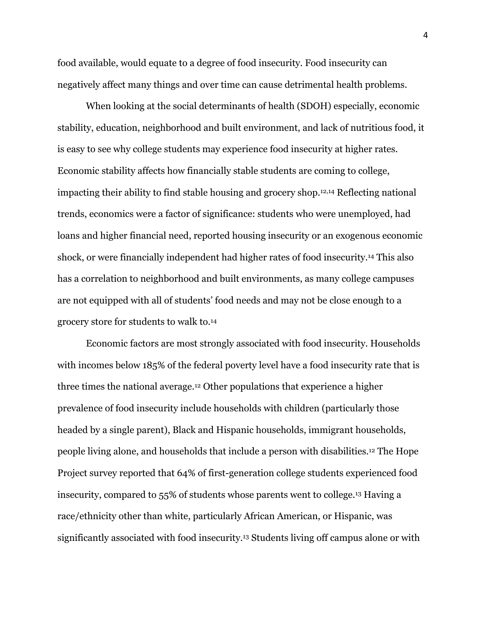food available, would equate to a degree of food insecurity. Food insecurity can negatively affect many things and over time can cause detrimental health problems.

When looking at the social determinants of health (SDOH) especially, economic stability, education, neighborhood and built environment, and lack of nutritious food, it is easy to see why college students may experience food insecurity at higher rates. Economic stability affects how financially stable students are coming to college, impacting their ability to find stable housing and grocery shop.12,14 Reflecting national trends, economics were a factor of significance: students who were unemployed, had loans and higher financial need, reported housing insecurity or an exogenous economic shock, or were financially independent had higher rates of food insecurity.14 This also has a correlation to neighborhood and built environments, as many college campuses are not equipped with all of students' food needs and may not be close enough to a grocery store for students to walk to.14

Economic factors are most strongly associated with food insecurity. Households with incomes below 185% of the federal poverty level have a food insecurity rate that is three times the national average.12 Other populations that experience a higher prevalence of food insecurity include households with children (particularly those headed by a single parent), Black and Hispanic households, immigrant households, people living alone, and households that include a person with disabilities.12 The Hope Project survey reported that 64% of first-generation college students experienced food insecurity, compared to 55% of students whose parents went to college.13 Having a race/ethnicity other than white, particularly African American, or Hispanic, was significantly associated with food insecurity.13 Students living off campus alone or with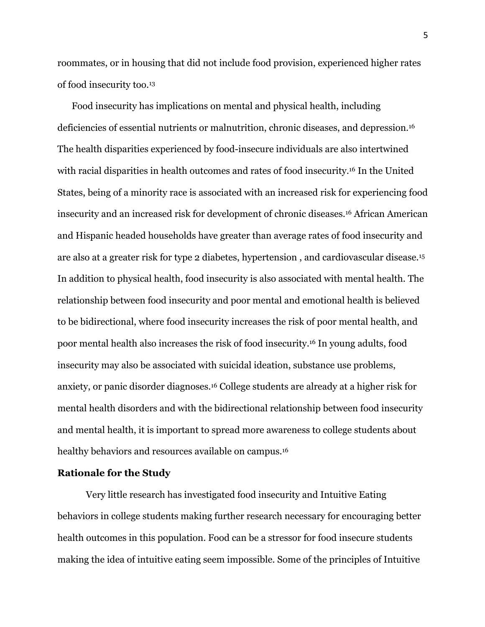roommates, or in housing that did not include food provision, experienced higher rates of food insecurity too.13

Food insecurity has implications on mental and physical health, including deficiencies of essential nutrients or malnutrition, chronic diseases, and depression.16 The health disparities experienced by food-insecure individuals are also intertwined with racial disparities in health outcomes and rates of food insecurity.16 In the United States, being of a minority race is associated with an increased risk for experiencing food insecurity and an increased risk for development of chronic diseases.16 African American and Hispanic headed households have greater than average rates of food insecurity and are also at a greater risk for type 2 diabetes, hypertension , and cardiovascular disease.15 In addition to physical health, food insecurity is also associated with mental health. The relationship between food insecurity and poor mental and emotional health is believed to be bidirectional, where food insecurity increases the risk of poor mental health, and poor mental health also increases the risk of food insecurity.16 In young adults, food insecurity may also be associated with suicidal ideation, substance use problems, anxiety, or panic disorder diagnoses.16 College students are already at a higher risk for mental health disorders and with the bidirectional relationship between food insecurity and mental health, it is important to spread more awareness to college students about healthy behaviors and resources available on campus.<sup>16</sup>

#### **Rationale for the Study**

Very little research has investigated food insecurity and Intuitive Eating behaviors in college students making further research necessary for encouraging better health outcomes in this population. Food can be a stressor for food insecure students making the idea of intuitive eating seem impossible. Some of the principles of Intuitive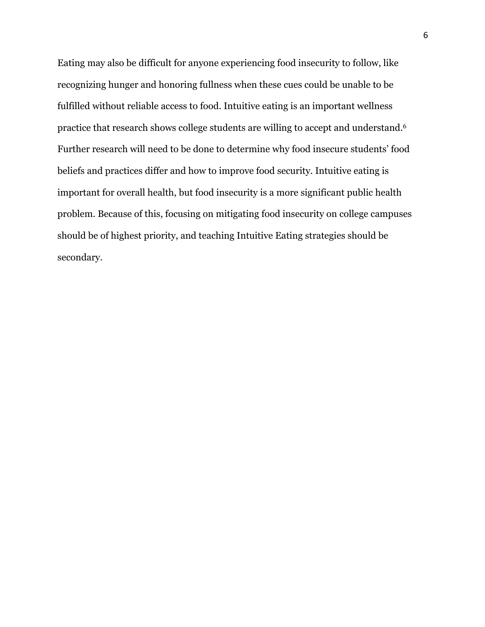Eating may also be difficult for anyone experiencing food insecurity to follow, like recognizing hunger and honoring fullness when these cues could be unable to be fulfilled without reliable access to food. Intuitive eating is an important wellness practice that research shows college students are willing to accept and understand.6 Further research will need to be done to determine why food insecure students' food beliefs and practices differ and how to improve food security. Intuitive eating is important for overall health, but food insecurity is a more significant public health problem. Because of this, focusing on mitigating food insecurity on college campuses should be of highest priority, and teaching Intuitive Eating strategies should be secondary.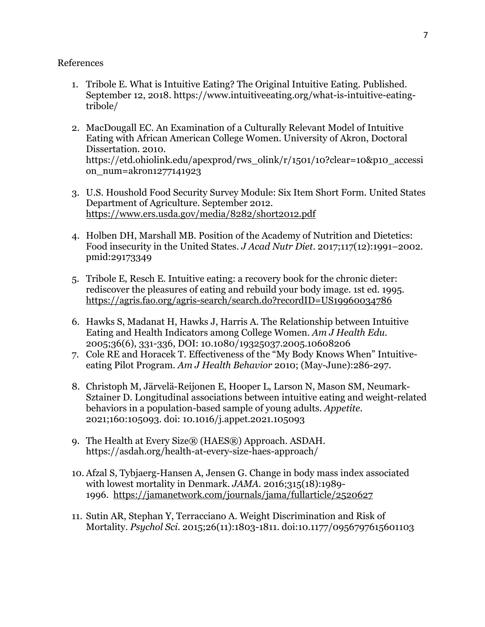## References

- 1. Tribole E. What is Intuitive Eating? The Original Intuitive Eating. Published. September 12, 2018. https://www.intuitiveeating.org/what-is-intuitive-eatingtribole/
- 2. MacDougall EC. An Examination of a Culturally Relevant Model of Intuitive Eating with African American College Women. University of Akron, Doctoral Dissertation. 2010. https://etd.ohiolink.edu/apexprod/rws\_olink/r/1501/10?clear=10&p10\_accessi on\_num=akron1277141923
- 3. U.S. Houshold Food Security Survey Module: Six Item Short Form. United States Department of Agriculture. September 2012. https://www.ers.usda.gov/media/8282/short2012.pdf
- 4. Holben DH, Marshall MB. Position of the Academy of Nutrition and Dietetics: Food insecurity in the United States. *J Acad Nutr Diet*. 2017;117(12):1991–2002. pmid:29173349
- 5. Tribole E, Resch E. Intuitive eating: a recovery book for the chronic dieter: rediscover the pleasures of eating and rebuild your body image. 1st ed. 1995. https://agris.fao.org/agris-search/search.do?recordID=US19960034786
- 6. Hawks S, Madanat H, Hawks J, Harris A. The Relationship between Intuitive Eating and Health Indicators among College Women. *Am J Health Edu*. 2005;36(6), 331-336, DOI: 10.1080/19325037.2005.10608206
- 7. Cole RE and Horacek T. Effectiveness of the "My Body Knows When" Intuitiveeating Pilot Program. *Am J Health Behavior* 2010; (May-June):286-297.
- 8. Christoph M, Järvelä-Reijonen E, Hooper L, Larson N, Mason SM, Neumark-Sztainer D. Longitudinal associations between intuitive eating and weight-related behaviors in a population-based sample of young adults. *Appetite*. 2021;160:105093. doi: 10.1016/j.appet.2021.105093
- 9. The Health at Every Size® (HAES®) Approach. ASDAH. https://asdah.org/health-at-every-size-haes-approach/
- 10. Afzal S, Tybjaerg-Hansen A, Jensen G. Change in body mass index associated with lowest mortality in Denmark. *JAMA.* 2016;315(18):1989- 1996. https://jamanetwork.com/journals/jama/fullarticle/2520627
- 11. Sutin AR, Stephan Y, Terracciano A. Weight Discrimination and Risk of Mortality. *Psychol Sci*. 2015;26(11):1803-1811. doi:10.1177/0956797615601103